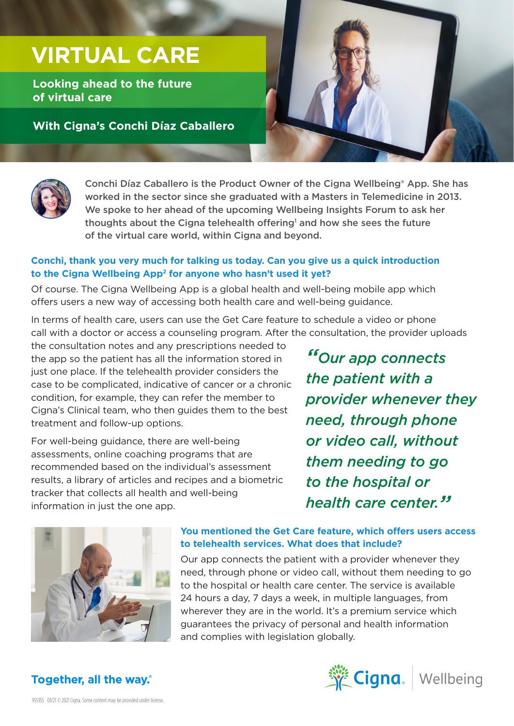# **VIRTUAL CARE**

**Looking ahead to the future of virtual care** 

**With Cigna's Conchi Díaz Caballero** 





Conchi Díaz Caballero is the Product Owner of the Cigna Wellbeing® App. She has worked in the sector since she graduated with a Masters in Telemedicine in 2013. We spoke to her ahead of the upcoming Wellbeing Insights Forum to ask her thoughts about the Cigna telehealth offering<sup>1</sup> and how she sees the future of the virtual care world, within Cigna and beyond.

#### **Conchi, thank you very much for talking us today. Can you give us a quick introduction to the Cigna Wellbeing App2 for anyone who hasn't used it yet?**

Of course. The Cigna Wellbeing App is a global health and well-being mobile app which offers users a new way of accessing both health care and well-being guidance.

In terms of health care, users can use the Get Care feature to schedule a video or phone call with a doctor or access a counseling program. After the consultation, the provider uploads

the consultation notes and any prescriptions needed to the app so the patient has all the information stored in just one place. If the telehealth provider considers the case to be complicated, indicative of cancer or a chronic condition, for example, they can refer the member to Cigna's Clinical team, who then guides them to the best treatment and follow-up options.

For well-being guidance, there are well-being assessments, online coaching programs that are recommended based on the individual's assessment results, a library of articles and recipes and a biometric tracker that collects all health and well-being information in just the one app.

*"Our app connects the patient with a provider whenever they need, through phone or video call, without them needing to go to the hospital or health care center."*



#### **You mentioned the Get Care feature, which offers users access to telehealth services. What does that include?**

Our app connects the patient with a provider whenever they need, through phone or video call, without them needing to go to the hospital or health care center. The service is available 24 hours a day, 7 days a week, in multiple languages, from wherever they are in the world. It's a premium service which guarantees the privacy of personal and health information and complies with legislation globally.



## **Together, all the way.**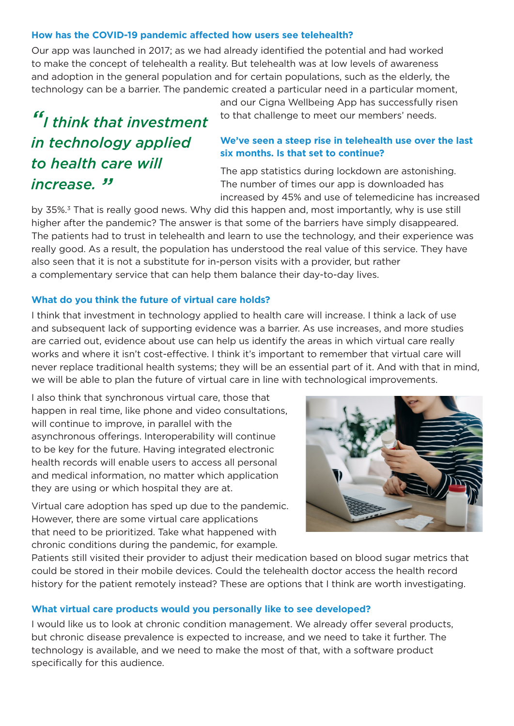#### **How has the COVID-19 pandemic affected how users see telehealth?**

Our app was launched in 2017; as we had already identified the potential and had worked to make the concept of telehealth a reality. But telehealth was at low levels of awareness and adoption in the general population and for certain populations, such as the elderly, the technology can be a barrier. The pandemic created a particular need in a particular moment,

# *"I think that investment in technology applied to health care will increase. "*

and our Cigna Wellbeing App has successfully risen to that challenge to meet our members' needs.

#### **We've seen a steep rise in telehealth use over the last six months. Is that set to continue?**

The app statistics during lockdown are astonishing. The number of times our app is downloaded has increased by 45% and use of telemedicine has increased

by 35%.<sup>3</sup> That is really good news. Why did this happen and, most importantly, why is use still higher after the pandemic? The answer is that some of the barriers have simply disappeared. The patients had to trust in telehealth and learn to use the technology, and their experience was really good. As a result, the population has understood the real value of this service. They have also seen that it is not a substitute for in-person visits with a provider, but rather a complementary service that can help them balance their day-to-day lives.

#### **What do you think the future of virtual care holds?**

I think that investment in technology applied to health care will increase. I think a lack of use and subsequent lack of supporting evidence was a barrier. As use increases, and more studies are carried out, evidence about use can help us identify the areas in which virtual care really works and where it isn't cost-effective. I think it's important to remember that virtual care will never replace traditional health systems; they will be an essential part of it. And with that in mind, we will be able to plan the future of virtual care in line with technological improvements.

I also think that synchronous virtual care, those that happen in real time, like phone and video consultations, will continue to improve, in parallel with the asynchronous offerings. Interoperability will continue to be key for the future. Having integrated electronic health records will enable users to access all personal and medical information, no matter which application they are using or which hospital they are at.

Virtual care adoption has sped up due to the pandemic. However, there are some virtual care applications that need to be prioritized. Take what happened with chronic conditions during the pandemic, for example.



Patients still visited their provider to adjust their medication based on blood sugar metrics that could be stored in their mobile devices. Could the telehealth doctor access the health record history for the patient remotely instead? These are options that I think are worth investigating.

#### **What virtual care products would you personally like to see developed?**

I would like us to look at chronic condition management. We already offer several products, but chronic disease prevalence is expected to increase, and we need to take it further. The technology is available, and we need to make the most of that, with a software product specifically for this audience.